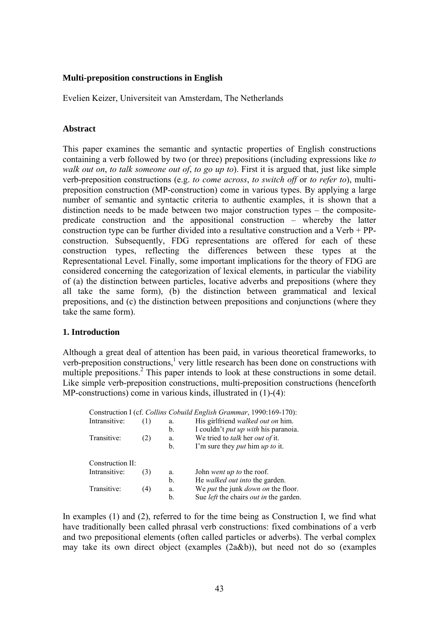## **Multi-preposition constructions in English**

Evelien Keizer, Universiteit van Amsterdam, The Netherlands

## **Abstract**

This paper examines the semantic and syntactic properties of English constructions containing a verb followed by two (or three) prepositions (including expressions like *to walk out on*, *to talk someone out of*, *to go up to*). First it is argued that, just like simple verb-preposition constructions (e.g. *to come across*, *to switch off* or *to refer to*), multipreposition construction (MP-construction) come in various types. By applying a large number of semantic and syntactic criteria to authentic examples, it is shown that a distinction needs to be made between two major construction types – the compositepredicate construction and the appositional construction – whereby the latter construction type can be further divided into a resultative construction and a Verb + PPconstruction. Subsequently, FDG representations are offered for each of these construction types, reflecting the differences between these types at the Representational Level. Finally, some important implications for the theory of FDG are considered concerning the categorization of lexical elements, in particular the viability of (a) the distinction between particles, locative adverbs and prepositions (where they all take the same form), (b) the distinction between grammatical and lexical prepositions, and (c) the distinction between prepositions and conjunctions (where they take the same form).

# **1. Introduction**

Although a great deal of attention has been paid, in various theoretical frameworks, to verb-preposition constructions, $\frac{1}{1}$  very little research has been done on constructions with multiple prepositions.<sup>2</sup> This paper intends to look at these constructions in some detail. Like simple verb-preposition constructions, multi-preposition constructions (henceforth MP-constructions) come in various kinds, illustrated in  $(1)$ - $(4)$ :

|                  |     |    | Construction I (cf. Collins Cobuild English Grammar, 1990:169-170): |
|------------------|-----|----|---------------------------------------------------------------------|
| Intransitive:    | (1) | a. | His girlfriend <i>walked out on</i> him.                            |
|                  |     | b. | I couldn't <i>put up with</i> his paranoia.                         |
| Transitive:      | (2) | a. | We tried to <i>talk</i> her <i>out of</i> it.                       |
|                  |     | b. | I'm sure they <i>put</i> him <i>up to</i> it.                       |
| Construction II: |     |    |                                                                     |
| Intransitive:    | (3) | a. | John went up to the roof.                                           |
|                  |     | b. | He walked out into the garden.                                      |
| Transitive:      | (4) | a. | We <i>put</i> the junk <i>down on</i> the floor.                    |
|                  |     | b. | Sue <i>left</i> the chairs <i>out in</i> the garden.                |

In examples (1) and (2), referred to for the time being as Construction I, we find what have traditionally been called phrasal verb constructions: fixed combinations of a verb and two prepositional elements (often called particles or adverbs). The verbal complex may take its own direct object (examples (2a&b)), but need not do so (examples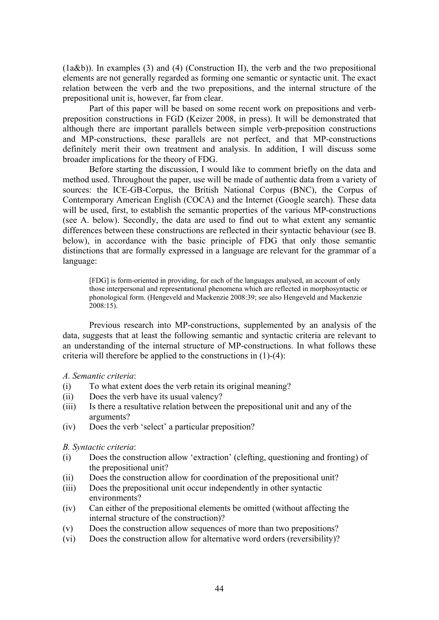(1a&b)). In examples (3) and (4) (Construction II), the verb and the two prepositional elements are not generally regarded as forming one semantic or syntactic unit. The exact relation between the verb and the two prepositions, and the internal structure of the prepositional unit is, however, far from clear.

Part of this paper will be based on some recent work on prepositions and verbpreposition constructions in FGD (Keizer 2008, in press). It will be demonstrated that although there are important parallels between simple verb-preposition constructions and MP-constructions, these parallels are not perfect, and that MP-constructions definitely merit their own treatment and analysis. In addition, I will discuss some broader implications for the theory of FDG.

Before starting the discussion, I would like to comment briefly on the data and method used. Throughout the paper, use will be made of authentic data from a variety of sources: the ICE-GB-Corpus, the British National Corpus (BNC), the Corpus of Contemporary American English (COCA) and the Internet (Google search). These data will be used, first, to establish the semantic properties of the various MP-constructions (see A. below). Secondly, the data are used to find out to what extent any semantic differences between these constructions are reflected in their syntactic behaviour (see B. below), in accordance with the basic principle of FDG that only those semantic distinctions that are formally expressed in a language are relevant for the grammar of a language:

[FDG] is form-oriented in providing, for each of the languages analysed, an account of only those interpersonal and representational phenomena which are reflected in morphosyntactic or phonological form. (Hengeveld and Mackenzie 2008:39; see also Hengeveld and Mackenzie 2008:15).

Previous research into MP-constructions, supplemented by an analysis of the data, suggests that at least the following semantic and syntactic criteria are relevant to an understanding of the internal structure of MP-constructions. In what follows these criteria will therefore be applied to the constructions in (1)-(4):

## *A. Semantic criteria*:

- (i) To what extent does the verb retain its original meaning?
- (ii) Does the verb have its usual valency?
- (iii) Is there a resultative relation between the prepositional unit and any of the arguments?
- (iv) Does the verb 'select' a particular preposition?

## *B. Syntactic criteria*:

- (i) Does the construction allow 'extraction' (clefting, questioning and fronting) of the prepositional unit?
- (ii) Does the construction allow for coordination of the prepositional unit?
- (iii) Does the prepositional unit occur independently in other syntactic environments?
- (iv) Can either of the prepositional elements be omitted (without affecting the internal structure of the construction)?
- (v) Does the construction allow sequences of more than two prepositions?
- (vi) Does the construction allow for alternative word orders (reversibility)?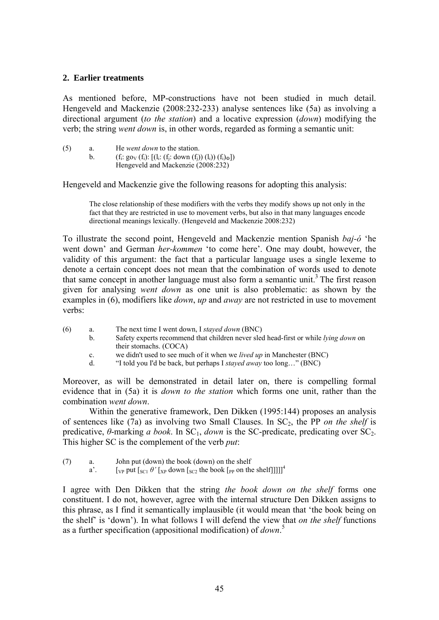## **2. Earlier treatments**

As mentioned before, MP-constructions have not been studied in much detail. Hengeveld and Mackenzie (2008:232-233) analyse sentences like (5a) as involving a directional argument (*to the station*) and a locative expression (*down*) modifying the verb; the string *went down* is, in other words, regarded as forming a semantic unit:

| (5) | a. | He <i>went down</i> to the station.                               |
|-----|----|-------------------------------------------------------------------|
|     |    | $(f_i: go_V(f_i): [(l_i: (f_i: down (f_i)) (l_i)) (f_i)_{\Phi}])$ |
|     |    | Hengeveld and Mackenzie (2008:232)                                |

Hengeveld and Mackenzie give the following reasons for adopting this analysis:

The close relationship of these modifiers with the verbs they modify shows up not only in the fact that they are restricted in use to movement verbs, but also in that many languages encode directional meanings lexically. (Hengeveld and Mackenzie 2008:232)

To illustrate the second point, Hengeveld and Mackenzie mention Spanish *baj-ó* 'he went down' and German *her-kommen* 'to come here'. One may doubt, however, the validity of this argument: the fact that a particular language uses a single lexeme to denote a certain concept does not mean that the combination of words used to denote that same concept in another language must also form a semantic unit.<sup>3</sup> The first reason given for analysing *went down* as one unit is also problematic: as shown by the examples in (6), modifiers like *down*, *up* and *away* are not restricted in use to movement verbs:

- (6) a. The next time I went down, I *stayed down* (BNC) b. Safety experts recommend that children never sled head-first or while *lying down* on their stomachs. (COCA) c. we didn't used to see much of it when we *lived up* in Manchester (BNC)
	- d. "I told you I'd be back, but perhaps I *stayed away* too long…" (BNC)

Moreover, as will be demonstrated in detail later on, there is compelling formal evidence that in (5a) it is *down to the station* which forms one unit, rather than the combination *went down*.

Within the generative framework, Den Dikken (1995:144) proposes an analysis of sentences like (7a) as involving two Small Clauses. In SC2, the PP *on the shelf* is predicative,  $\theta$ -marking *a book*. In SC<sub>1</sub>, *down* is the SC-predicate, predicating over SC<sub>2</sub>. This higher SC is the complement of the verb *put*:

(7) a. John put (down) the book (down) on the shelf

a'.  $\left[\begin{array}{cc} \sqrt{2} & \sqrt{2} \\ \sqrt{2} & \sqrt{2} \end{array} \right] \left[\begin{array}{c} \sqrt{2} & \sqrt{2} \\ \sqrt{2} & \sqrt{2} \end{array} \right]$  [ $\sqrt{2}$  |  $\sqrt{2}$  |  $\sqrt{2}$  |  $\sqrt{2}$  |  $\sqrt{2}$  |  $\sqrt{2}$  |  $\sqrt{2}$  |  $\sqrt{2}$  |  $\sqrt{2}$  |  $\sqrt{2}$  |  $\sqrt{2}$  |  $\sqrt{2}$  |  $\sqrt{2}$  |  $\sqrt$ 

I agree with Den Dikken that the string *the book down on the shelf* forms one constituent. I do not, however, agree with the internal structure Den Dikken assigns to this phrase, as I find it semantically implausible (it would mean that 'the book being on the shelf' is 'down'). In what follows I will defend the view that *on the shelf* functions as a further specification (appositional modification) of *down*. 5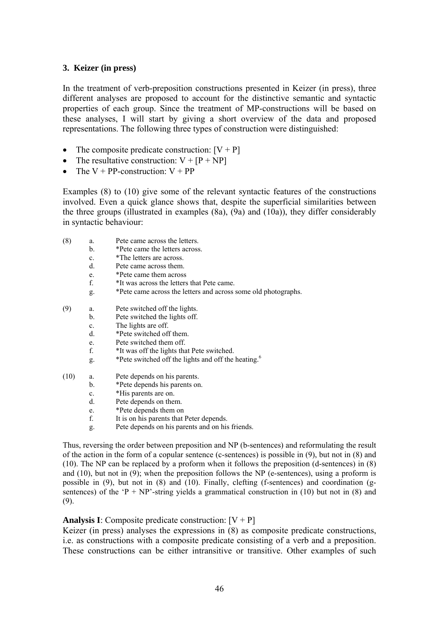## **3. Keizer (in press)**

In the treatment of verb-preposition constructions presented in Keizer (in press), three different analyses are proposed to account for the distinctive semantic and syntactic properties of each group. Since the treatment of MP-constructions will be based on these analyses, I will start by giving a short overview of the data and proposed representations. The following three types of construction were distinguished:

- The composite predicate construction:  $[V + P]$
- The resultative construction:  $V + [P + NP]$
- The  $V + PP$ -construction:  $V + PP$

Examples (8) to (10) give some of the relevant syntactic features of the constructions involved. Even a quick glance shows that, despite the superficial similarities between the three groups (illustrated in examples (8a), (9a) and (10a)), they differ considerably in syntactic behaviour:

- (8) a. Pete came across the letters.
	- b. \*Pete came the letters across.
	- c. \*The letters are across.
	- d. Pete came across them.
	- e. \*Pete came them across
	- f. \*It was across the letters that Pete came.
	- g. \*Pete came across the letters and across some old photographs.
- (9) a. Pete switched off the lights.
	- b. Pete switched the lights off.
	- c. The lights are off.
	- d. \*Pete switched off them.
	- e. Pete switched them off.
	- f. \*It was off the lights that Pete switched.
	- g. \*Pete switched off the lights and off the heating.<sup>6</sup>
- (10) a. Pete depends on his parents.
	- b. \*Pete depends his parents on.
	- c. \*His parents are on.
	- d. Pete depends on them.
	- e. \*Pete depends them on
	- f. It is on his parents that Peter depends.
	- g. Pete depends on his parents and on his friends.

Thus, reversing the order between preposition and NP (b-sentences) and reformulating the result of the action in the form of a copular sentence (c-sentences) is possible in (9), but not in (8) and (10). The NP can be replaced by a proform when it follows the preposition (d-sentences) in (8) and  $(10)$ , but not in  $(9)$ ; when the preposition follows the NP (e-sentences), using a proform is possible in (9), but not in (8) and (10). Finally, clefting (f-sentences) and coordination (gsentences) of the 'P + NP'-string yields a grammatical construction in (10) but not in (8) and (9).

## **Analysis I**: Composite predicate construction:  $[V + P]$

Keizer (in press) analyses the expressions in (8) as composite predicate constructions, i.e. as constructions with a composite predicate consisting of a verb and a preposition. These constructions can be either intransitive or transitive. Other examples of such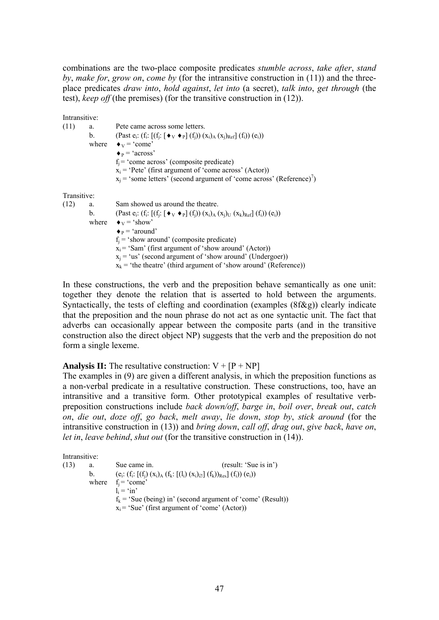combinations are the two-place composite predicates *stumble across*, *take after*, *stand by*, *make for*, *grow on*, *come by* (for the intransitive construction in (11)) and the threeplace predicates *draw into*, *hold against*, *let into* (a secret), *talk into*, *get through* (the test), *keep off* (the premises) (for the transitive construction in (12)).

Intransitive: (11) a. Pete came across some letters. b. (Past  $e_i$ :  $(f_i: [(f_i: [\blacklozenge_{\rm V} \blacklozenge_{\rm P}](f_i)) (x_i)_{\rm A} (x_i)_{\rm Ref}](f_i)) (e_i))$ where  $\bullet_V = 'come'$  $\blacklozenge$ <sub>P</sub> = 'across'  $f_i$  = 'come across' (composite predicate)  $x_i$  = 'Pete' (first argument of 'come across' (Actor))  $x_j$  = 'some letters' (second argument of 'come across' (Reference)<sup>7</sup>) Transitive: (12) a. Sam showed us around the theatre. b. (Past  $e_i$ :  $(f_i: [(f_j: [\blacklozenge_v \blacklozenge_p] (f_j)) (x_i)_A (x_j)_U (x_k)_{Ref}] (f_i)) (e_i))$ where  $\bullet$ <sub>V</sub> = 'show'  $\bullet$   $\bullet$  = 'around'  $f_i$  = 'show around' (composite predicate)  $x_i$  = 'Sam' (first argument of 'show around' (Actor))  $x_i$  = 'us' (second argument of 'show around' (Undergoer))  $x_k$  = 'the theatre' (third argument of 'show around' (Reference))

In these constructions, the verb and the preposition behave semantically as one unit: together they denote the relation that is asserted to hold between the arguments. Syntactically, the tests of clefting and coordination (examples (8f&g)) clearly indicate that the preposition and the noun phrase do not act as one syntactic unit. The fact that adverbs can occasionally appear between the composite parts (and in the transitive construction also the direct object NP) suggests that the verb and the preposition do not form a single lexeme.

**Analysis II:** The resultative construction:  $V + [P + NP]$ 

The examples in (9) are given a different analysis, in which the preposition functions as a non-verbal predicate in a resultative construction. These constructions, too, have an intransitive and a transitive form. Other prototypical examples of resultative verbpreposition constructions include *back down/off*, *barge in*, *boil over*, *break out*, *catch on*, *die out*, *doze off*, *go back*, *melt away*, *lie down*, *stop by*, *stick around* (for the intransitive construction in (13)) and *bring down*, *call off*, *drag out*, *give back*, *have on*, *let in*, *leave behind*, *shut out* (for the transitive construction in (14)).

Intransitive:

(13) a. Sue came in. (result: 'Sue is in') b.  $(e_i: (f_i: [(f_i) (x_i)_{A} (f_k: [(l_i) (x_i)_{\emptyset}] (f_k))_{Res}] (f_i)) (e_i))$ where  $f_i = 'come'$  $\mathbf{l}_i = \infty$  in'  $f_k$  = 'Sue (being) in' (second argument of 'come' (Result))  $x_i$  = 'Sue' (first argument of 'come' (Actor))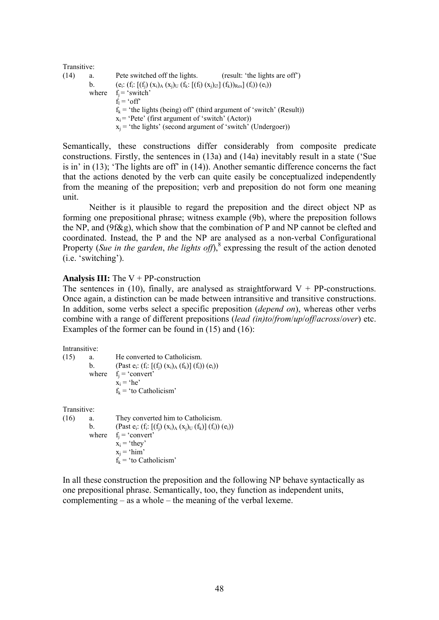| Transitive: |    |                                                                                                |
|-------------|----|------------------------------------------------------------------------------------------------|
| (14)        | a. | Pete switched off the lights.<br>(result: 'the lights are off')                                |
|             | b. | $(e_i: (f_i: [(f_i) (x_i)_A (x_j)_U (f_k: [(f_i) (x_j)_\emptyset] (f_k))_{Res}] (f_i)) (e_i))$ |
|             |    | where $f_i = 'switch'$                                                                         |
|             |    | $f_1 = 'off'$                                                                                  |
|             |    | $f_k$ = 'the lights (being) off' (third argument of 'switch' (Result))                         |
|             |    | $x_i$ = 'Pete' (first argument of 'switch' (Actor))                                            |
|             |    | $x_i$ = 'the lights' (second argument of 'switch' (Undergoer))                                 |

Semantically, these constructions differ considerably from composite predicate constructions. Firstly, the sentences in (13a) and (14a) inevitably result in a state ('Sue is in' in (13); 'The lights are off' in (14)). Another semantic difference concerns the fact that the actions denoted by the verb can quite easily be conceptualized independently from the meaning of the preposition; verb and preposition do not form one meaning unit.

Neither is it plausible to regard the preposition and the direct object NP as forming one prepositional phrase; witness example (9b), where the preposition follows the NP, and (9f&g), which show that the combination of P and NP cannot be clefted and coordinated. Instead, the P and the NP are analysed as a non-verbal Configurational Property (*Sue in the garden*, *the lights off*),<sup>8</sup> expressing the result of the action denoted (i.e. 'switching').

#### **Analysis III:** The V + PP-construction

The sentences in (10), finally, are analysed as straightforward  $V + PP$ -constructions. Once again, a distinction can be made between intransitive and transitive constructions. In addition, some verbs select a specific preposition (*depend on*), whereas other verbs combine with a range of different prepositions (*lead (in)to*/*from*/*up*/*off*/*across*/*over*) etc. Examples of the former can be found in (15) and (16):

Intransitive:

(15) a. He converted to Catholicism. b. (Past  $e_i$ :  $(f_i: [(f_j) (x_i)_A (f_k)] (f_i)) (e_i))$ where  $f_i = 'convert'$  $x_i$  = 'he'  $f_k$  = 'to Catholicism'

Transitive:

(16) a. They converted him to Catholicism. b. (Past  $e_i$ :  $(f_i: [(f_i) (x_i)_A (x_i)_U (f_i)] (f_i)) (e_i))$ where  $f_i = 'convert'$  $x_i$  = 'they'  $x_i$  = 'him'  $f_k$  = 'to Catholicism'

In all these construction the preposition and the following NP behave syntactically as one prepositional phrase. Semantically, too, they function as independent units, complementing – as a whole – the meaning of the verbal lexeme.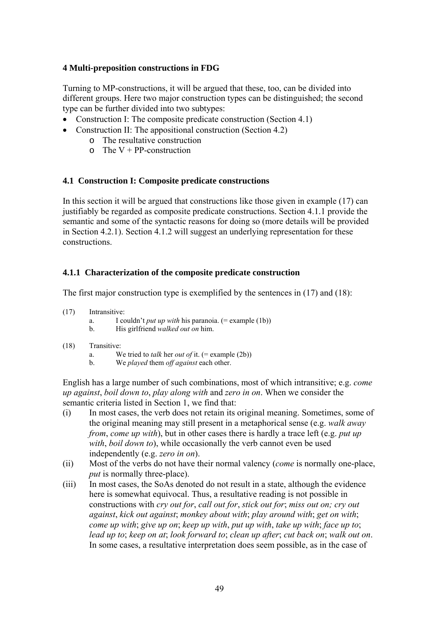## **4 Multi-preposition constructions in FDG**

Turning to MP-constructions, it will be argued that these, too, can be divided into different groups. Here two major construction types can be distinguished; the second type can be further divided into two subtypes:

- Construction I: The composite predicate construction (Section 4.1)
- Construction II: The appositional construction (Section 4.2)
	- o The resultative construction
	- $\circ$  The V + PP-construction

## **4.1 Construction I: Composite predicate constructions**

In this section it will be argued that constructions like those given in example (17) can justifiably be regarded as composite predicate constructions. Section 4.1.1 provide the semantic and some of the syntactic reasons for doing so (more details will be provided in Section 4.2.1). Section 4.1.2 will suggest an underlying representation for these constructions.

## **4.1.1 Characterization of the composite predicate construction**

The first major construction type is exemplified by the sentences in (17) and (18):

- (17) Intransitive:
	- a. I couldn't *put up with* his paranoia. (= example (1b))
	- b. His girlfriend *walked out on* him.

## (18) Transitive:

- a. We tried to *talk* her *out of* it. (= example (2b))
- b. We *played* them *off against* each other.

English has a large number of such combinations, most of which intransitive; e.g. *come up against*, *boil down to*, *play along with* and *zero in on*. When we consider the semantic criteria listed in Section 1, we find that:

- (i) In most cases, the verb does not retain its original meaning. Sometimes, some of the original meaning may still present in a metaphorical sense (e.g. *walk away from*, *come up with*), but in other cases there is hardly a trace left (e.g. *put up with*, *boil down to*), while occasionally the verb cannot even be used independently (e.g. *zero in on*).
- (ii) Most of the verbs do not have their normal valency (*come* is normally one-place, *put* is normally three-place).
- (iii) In most cases, the SoAs denoted do not result in a state, although the evidence here is somewhat equivocal. Thus, a resultative reading is not possible in constructions with *cry out for*, *call out for*, *stick out for*; *miss out on; cry out against*, *kick out against*; *monkey about with*; *play around with*; *get on with*; *come up with*; *give up on*; *keep up with*, *put up with*, *take up with*; *face up to*; *lead up to*; *keep on at*; *look forward to*; *clean up after*; *cut back on*; *walk out on*. In some cases, a resultative interpretation does seem possible, as in the case of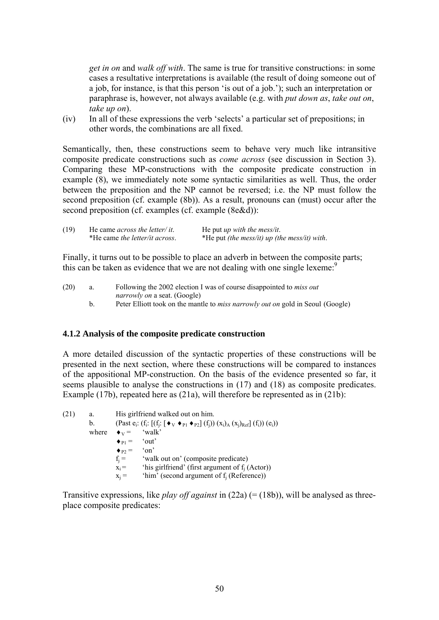*get in on* and *walk off with*. The same is true for transitive constructions: in some cases a resultative interpretations is available (the result of doing someone out of a job, for instance, is that this person 'is out of a job.'); such an interpretation or paraphrase is, however, not always available (e.g. with *put down as*, *take out on*, *take up on*).

(iv) In all of these expressions the verb 'selects' a particular set of prepositions; in other words, the combinations are all fixed.

Semantically, then, these constructions seem to behave very much like intransitive composite predicate constructions such as *come across* (see discussion in Section 3). Comparing these MP-constructions with the composite predicate construction in example (8), we immediately note some syntactic similarities as well. Thus, the order between the preposition and the NP cannot be reversed; i.e. the NP must follow the second preposition (cf. example (8b)). As a result, pronouns can (must) occur after the second preposition (cf. examples (cf. example (8e&d)):

| (19) | He came <i>across the letter/it.</i> | He put <i>up</i> with the mess/it.                  |
|------|--------------------------------------|-----------------------------------------------------|
|      | *He came the letter/it across.       | *He put <i>(the mess/it) up (the mess/it) with.</i> |

Finally, it turns out to be possible to place an adverb in between the composite parts; this can be taken as evidence that we are not dealing with one single lexeme:<sup>9</sup>

(20) a. Following the 2002 election I was of course disappointed to *miss out narrowly on* a seat. (Google) b. Peter Elliott took on the mantle to *miss narrowly out on* gold in Seoul (Google)

## **4.1.2 Analysis of the composite predicate construction**

A more detailed discussion of the syntactic properties of these constructions will be presented in the next section, where these constructions will be compared to instances of the appositional MP-construction. On the basis of the evidence presented so far, it seems plausible to analyse the constructions in (17) and (18) as composite predicates. Example (17b), repeated here as (21a), will therefore be represented as in (21b):

(21) a. His girlfriend walked out on him. b. (Past  $e_i$ : (f<sub>i</sub>:  $[(f_j: [\blacklozenge_v \blacklozenge_{P1} \blacklozenge_{P2}] (f_j)) (x_i)_A (x_j)_{Ref}] (f_i)) (e_i))$ where  $\bullet$ <sub>V</sub> = 'walk'  $\bullet_{\text{Pl}} = \text{'}\text{out'}$  $\begin{array}{rcl} \bullet_{P2} = & \text{`on'}\\ f_i = & \text{`wal} \end{array}$ 'walk out on' (composite predicate)  $x_i =$  'his girlfriend' (first argument of f<sub>i</sub> (Actor))  $x_i$  = 'him' (second argument of  $f_i$  (Reference))

Transitive expressions, like *play off against* in (22a) (= (18b)), will be analysed as threeplace composite predicates: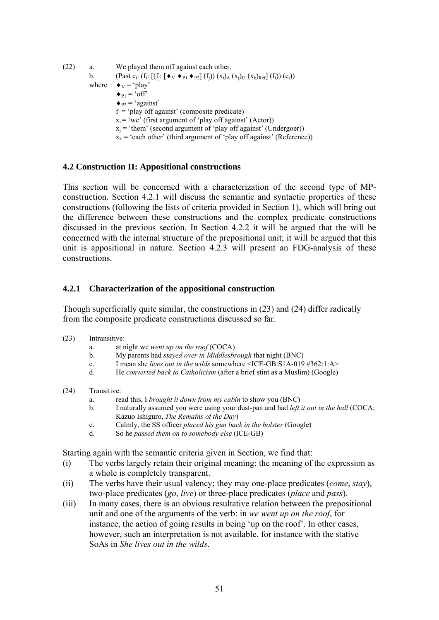(22) a. We played them off against each other. b. (Past  $e_i$ :  $(f_i: [(f_j: [\blacklozenge_v \blacklozenge_{P1} \blacklozenge_{P2}] (f_j)) (x_i)_{A} (x_j)_{U} (x_k)_{Ref}] (f_i)) (e_i))$ where  $\bullet_V = \text{`play'}$  $\bullet_{P1}$  = 'off'  $\bullet$  <sub>P2</sub> = 'against'  $f_i$  = 'play off against' (composite predicate)  $x_i = 'we'$  (first argument of 'play off against' (Actor))  $x_i$  = 'them' (second argument of 'play off against' (Undergoer))  $x_k$  = 'each other' (third argument of 'play off against' (Reference))

## **4.2 Construction II: Appositional constructions**

This section will be concerned with a characterization of the second type of MPconstruction. Section 4.2.1 will discuss the semantic and syntactic properties of these constructions (following the lists of criteria provided in Section 1), which will bring out the difference between these constructions and the complex predicate constructions discussed in the previous section. In Section 4.2.2 it will be argued that the will be concerned with the internal structure of the prepositional unit; it will be argued that this unit is appositional in nature. Section 4.2.3 will present an FDG-analysis of these constructions.

## **4.2.1 Characterization of the appositional construction**

Though superficially quite similar, the constructions in (23) and (24) differ radically from the composite predicate constructions discussed so far.

- (23) Intransitive:
	- a. at night we *went up on the roof* (COCA)
	- b. My parents had *stayed over in Middlesbrough* that night (BNC)
	- c. I mean she *lives out in the wilds* somewhere <ICE-GB:S1A-019 #362:1:A>
	- d. He *converted back to Catholicism* (after a brief stint as a Muslim) (Google)
- (24) Transitive:
	- a. read this, I *brought it down from my cabin* to show you (BNC)
	- b. I naturally assumed you were using your dust-pan and had *left it out in the hall* (COCA; Kazuo Ishiguro, *The Remains of the Day*)
	- c. Calmly, the SS officer *placed his gun back in the holster* (Google)
	- d. So he *passed them on to somebody else* (ICE-GB)

Starting again with the semantic criteria given in Section, we find that:

- (i) The verbs largely retain their original meaning; the meaning of the expression as a whole is completely transparent.
- (ii) The verbs have their usual valency; they may one-place predicates (*come*, *stay*), two-place predicates (*go*, *live*) or three-place predicates (*place* and *pass*).
- (iii) In many cases, there is an obvious resultative relation between the prepositional unit and one of the arguments of the verb: in *we went up on the roof*, for instance, the action of going results in being 'up on the roof'. In other cases, however, such an interpretation is not available, for instance with the stative SoAs in *She lives out in the wilds*.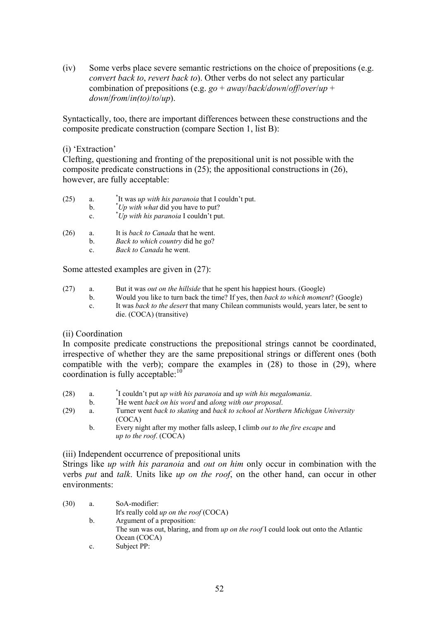(iv) Some verbs place severe semantic restrictions on the choice of prepositions (e.g. *convert back to*, *revert back to*). Other verbs do not select any particular combination of prepositions (e.g. *go* + *away*/*back*/*down*/*off*/*over*/*up* + *down*/*from*/*in(to)*/*to*/*up*).

Syntactically, too, there are important differences between these constructions and the composite predicate construction (compare Section 1, list B):

## (i) 'Extraction'

Clefting, questioning and fronting of the prepositional unit is not possible with the composite predicate constructions in (25); the appositional constructions in (26), however, are fully acceptable:

| (25) | a.             | "It was up with his paranoia that I couldn't put. |
|------|----------------|---------------------------------------------------|
|      | <sub>h</sub>   | "Up with what did you have to put?                |
|      | $\mathbf{c}$ . | "Up with his paranoia I couldn't put.             |
|      |                |                                                   |

- (26) a. It is *back to Canada* that he went.
	- b. *Back to which country* did he go?
		- c. *Back to Canada* he went.

Some attested examples are given in (27):

- (27) a. But it was *out on the hillside* that he spent his happiest hours. (Google)
	- b. Would you like to turn back the time? If yes, then *back to which moment*? (Google)
		- c. It was *back to the desert* that many Chilean communists would, years later, be sent to die. (COCA) (transitive)

## (ii) Coordination

In composite predicate constructions the prepositional strings cannot be coordinated, irrespective of whether they are the same prepositional strings or different ones (both compatible with the verb); compare the examples in (28) to those in (29), where coordination is fully acceptable:<sup>10</sup>

- $(28)$  a. I couldn't put *up with his paranoia* and *up with his megalomania*.
- $h$ He went *back on his word* and *along with our proposal*.
- (29) a. Turner went *back to skating* and *back to school at Northern Michigan University* (COCA)
	- b. Every night after my mother falls asleep, I climb *out to the fire escape* and *up to the roof*. (COCA)

(iii) Independent occurrence of prepositional units

Strings like *up with his paranoia* and *out on him* only occur in combination with the verbs *put* and *talk*. Units like *up on the roof*, on the other hand, can occur in other environments:

- (30) a. SoA-modifier: It's really cold *up on the roof* (COCA) b. Argument of a preposition: The sun was out, blaring, and from *up on the roof* I could look out onto the Atlantic Ocean (COCA)
	- c. Subject PP: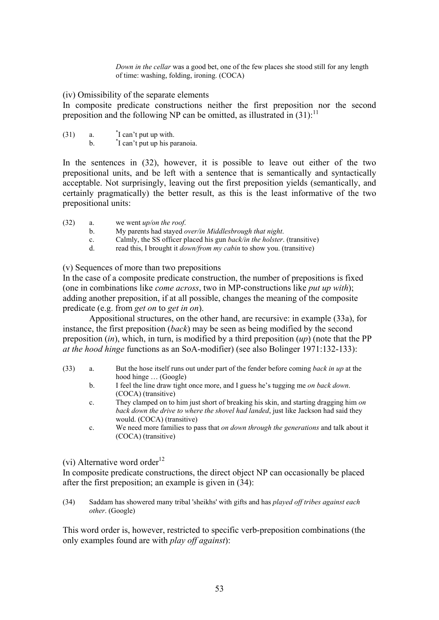*Down in the cellar* was a good bet, one of the few places she stood still for any length of time: washing, folding, ironing. (COCA)

(iv) Omissibility of the separate elements

In composite predicate constructions neither the first preposition nor the second preposition and the following NP can be omitted, as illustrated in  $(31)$ :<sup>11</sup>

- $(31)$  a  $\overline{I}$  can't put up with.
	- $<sub>b</sub>$ .</sub> I can't put up his paranoia.

In the sentences in (32), however, it is possible to leave out either of the two prepositional units, and be left with a sentence that is semantically and syntactically acceptable. Not surprisingly, leaving out the first preposition yields (semantically, and certainly pragmatically) the better result, as this is the least informative of the two prepositional units:

(32) a. we went *up/on the roof*.

- b. My parents had stayed *over/in Middlesbrough that night*.
- c. Calmly, the SS officer placed his gun *back/in the holster*. (transitive)
- d. read this, I brought it *down/from my cabin* to show you. (transitive)

(v) Sequences of more than two prepositions

In the case of a composite predicate construction, the number of prepositions is fixed (one in combinations like *come across*, two in MP-constructions like *put up with*); adding another preposition, if at all possible, changes the meaning of the composite predicate (e.g. from *get on* to *get in on*).

Appositional structures, on the other hand, are recursive: in example (33a), for instance, the first preposition (*back*) may be seen as being modified by the second preposition (*in*), which, in turn, is modified by a third preposition (*up*) (note that the PP *at the hood hinge* functions as an SoA-modifier) (see also Bolinger 1971:132-133):

- (33) a. But the hose itself runs out under part of the fender before coming *back in up* at the hood hinge … (Google)
	- b. I feel the line draw tight once more, and I guess he's tugging me *on back down*. (COCA) (transitive)
	- c. They clamped on to him just short of breaking his skin, and starting dragging him *on back down the drive to where the shovel had landed*, just like Jackson had said they would. (COCA) (transitive)
	- c. We need more families to pass that *on down through the generations* and talk about it (COCA) (transitive)

(vi) Alternative word order<sup>12</sup>

In composite predicate constructions, the direct object NP can occasionally be placed after the first preposition; an example is given in (34):

(34) Saddam has showered many tribal 'sheikhs' with gifts and has *played off tribes against each other*. (Google)

This word order is, however, restricted to specific verb-preposition combinations (the only examples found are with *play off against*):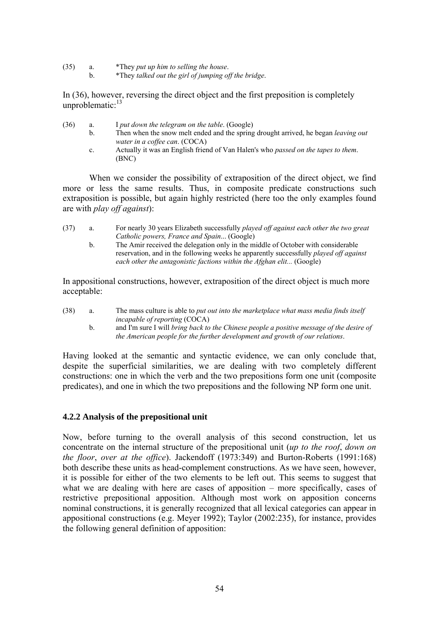- (35) a. \*They *put up him to selling the house*.
	- b. \*They *talked out the girl of jumping off the bridge*.

In (36), however, reversing the direct object and the first preposition is completely unproblematic:<sup>13</sup>

- (36) a. I *put down the telegram on the table*. (Google)
	- b. Then when the snow melt ended and the spring drought arrived, he began *leaving out water in a coffee can*. (COCA)
		- c. Actually it was an English friend of Van Halen's who *passed on the tapes to them*. (BNC)

When we consider the possibility of extraposition of the direct object, we find more or less the same results. Thus, in composite predicate constructions such extraposition is possible, but again highly restricted (here too the only examples found are with *play off against*):

- (37) a. For nearly 30 years Elizabeth successfully *played off against each other the two great Catholic powers, France and Spain*... (Google)
	- b. The Amir received the delegation only in the middle of October with considerable reservation, and in the following weeks he apparently successfully *played off against each other the antagonistic factions within the Afghan elit...* (Google)

In appositional constructions, however, extraposition of the direct object is much more acceptable:

- (38) a. The mass culture is able to *put out into the marketplace what mass media finds itself incapable of reporting* (COCA)
	- b. and I'm sure I will *bring back to the Chinese people a positive message of the desire of the American people for the further development and growth of our relations*.

Having looked at the semantic and syntactic evidence, we can only conclude that, despite the superficial similarities, we are dealing with two completely different constructions: one in which the verb and the two prepositions form one unit (composite predicates), and one in which the two prepositions and the following NP form one unit.

## **4.2.2 Analysis of the prepositional unit**

Now, before turning to the overall analysis of this second construction, let us concentrate on the internal structure of the prepositional unit (*up to the roof*, *down on the floor*, *over at the office*). Jackendoff (1973:349) and Burton-Roberts (1991:168) both describe these units as head-complement constructions. As we have seen, however, it is possible for either of the two elements to be left out. This seems to suggest that what we are dealing with here are cases of apposition – more specifically, cases of restrictive prepositional apposition. Although most work on apposition concerns nominal constructions, it is generally recognized that all lexical categories can appear in appositional constructions (e.g. Meyer 1992); Taylor (2002:235), for instance, provides the following general definition of apposition: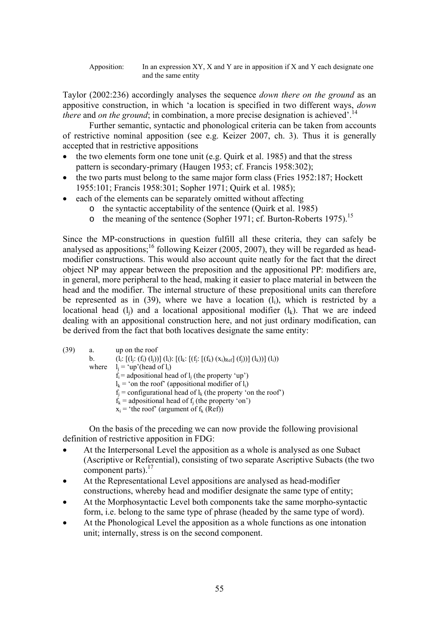Apposition: In an expression XY, X and Y are in apposition if X and Y each designate one and the same entity

Taylor (2002:236) accordingly analyses the sequence *down there on the ground* as an appositive construction, in which 'a location is specified in two different ways, *down there* and *on the ground*; in combination, a more precise designation is achieved'.<sup>14</sup>

Further semantic, syntactic and phonological criteria can be taken from accounts of restrictive nominal apposition (see e.g. Keizer 2007, ch. 3). Thus it is generally accepted that in restrictive appositions

- the two elements form one tone unit (e.g. Quirk et al. 1985) and that the stress pattern is secondary-primary (Haugen 1953; cf. Francis 1958:302);
- the two parts must belong to the same major form class (Fries 1952:187; Hockett 1955:101; Francis 1958:301; Sopher 1971; Quirk et al. 1985);
- each of the elements can be separately omitted without affecting
	- o the syntactic acceptability of the sentence (Quirk et al. 1985)
	- o the meaning of the sentence (Sopher 1971; cf. Burton-Roberts 1975).<sup>15</sup>

Since the MP-constructions in question fulfill all these criteria, they can safely be analysed as appositions;<sup>16</sup> following Keizer (2005, 2007), they will be regarded as headmodifier constructions. This would also account quite neatly for the fact that the direct object NP may appear between the preposition and the appositional PP: modifiers are, in general, more peripheral to the head, making it easier to place material in between the head and the modifier. The internal structure of these prepositional units can therefore be represented as in  $(39)$ , where we have a location  $(l_i)$ , which is restricted by a locational head  $(l_i)$  and a locational appositional modifier  $(l_k)$ . That we are indeed dealing with an appositional construction here, and not just ordinary modification, can be derived from the fact that both locatives designate the same entity:

(39) a. up on the roof b.  $(l_i: [(l_i: (f_i) (l_i))](l_i): [(l_k: [(f_i: [(f_k) (x_i)_{Ref}] (f_i))](l_k))](l_i))$ where  $l_i = \nu$  (head of  $l_i$ )  $\vec{f}$  = adpositional head of l, (the property 'up')  $l_k$  = 'on the roof' (appositional modifier of  $l_i$ )  $f_i$  = configurational head of  $l_k$  (the property 'on the roof')  $f_k$  = adpositional head of f; (the property 'on')  $x_i$  = 'the roof' (argument of  $f_k$  (Ref))

On the basis of the preceding we can now provide the following provisional definition of restrictive apposition in FDG:

- At the Interpersonal Level the apposition as a whole is analysed as one Subact (Ascriptive or Referential), consisting of two separate Ascriptive Subacts (the two component parts).<sup>17</sup>
- At the Representational Level appositions are analysed as head-modifier constructions, whereby head and modifier designate the same type of entity;
- At the Morphosyntactic Level both components take the same morpho-syntactic form, i.e. belong to the same type of phrase (headed by the same type of word).
- At the Phonological Level the apposition as a whole functions as one intonation unit; internally, stress is on the second component.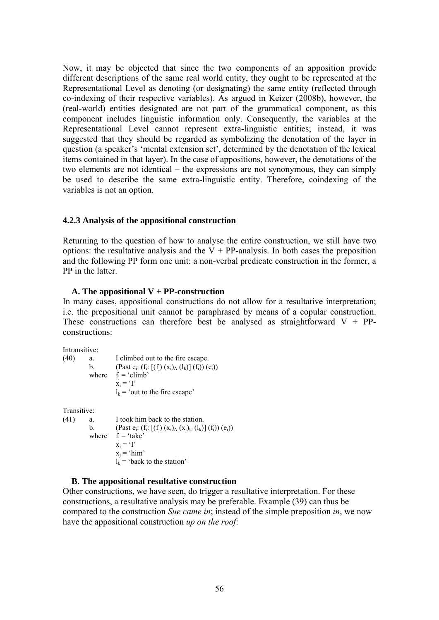Now, it may be objected that since the two components of an apposition provide different descriptions of the same real world entity, they ought to be represented at the Representational Level as denoting (or designating) the same entity (reflected through co-indexing of their respective variables). As argued in Keizer (2008b), however, the (real-world) entities designated are not part of the grammatical component, as this component includes linguistic information only. Consequently, the variables at the Representational Level cannot represent extra-linguistic entities; instead, it was suggested that they should be regarded as symbolizing the denotation of the layer in question (a speaker's 'mental extension set', determined by the denotation of the lexical items contained in that layer). In the case of appositions, however, the denotations of the two elements are not identical – the expressions are not synonymous, they can simply be used to describe the same extra-linguistic entity. Therefore, coindexing of the variables is not an option.

## **4.2.3 Analysis of the appositional construction**

Returning to the question of how to analyse the entire construction, we still have two options: the resultative analysis and the  $V + PP$ -analysis. In both cases the preposition and the following PP form one unit: a non-verbal predicate construction in the former, a PP in the latter

## **A. The appositional V + PP-construction**

In many cases, appositional constructions do not allow for a resultative interpretation; i.e. the prepositional unit cannot be paraphrased by means of a copular construction. These constructions can therefore best be analysed as straightforward  $V + PP$ constructions:

Intransitive:

(40) a. I climbed out to the fire escape. b. (Past  $e_i$ :  $(f_i: [(f_j) (x_i)_A (l_k)] (f_i)) (e_i))$ where  $f_i = 'climb'$  $x_i = 'I'$  $l_k$  = 'out to the fire escape'

Transitive:

(41) a. I took him back to the station. b. (Past  $e_i$ :  $(f_i: [(f_i) (x_i)_A (x_i)_U (l_k)] (f_i)) (e_i))$ where  $f_i = 'take'$  $x_i = 'I'$  $x_i$  = 'him'  $l_k$  = 'back to the station'

# **B. The appositional resultative construction**

Other constructions, we have seen, do trigger a resultative interpretation. For these constructions, a resultative analysis may be preferable. Example (39) can thus be compared to the construction *Sue came in*; instead of the simple preposition *in*, we now have the appositional construction *up on the roof*: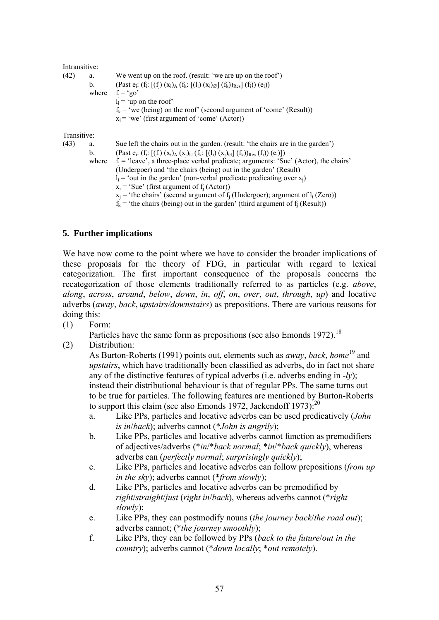| Intransitive: |       |                                                                                                                                                                                                                                                                                |
|---------------|-------|--------------------------------------------------------------------------------------------------------------------------------------------------------------------------------------------------------------------------------------------------------------------------------|
| (42)          | a.    | We went up on the roof. (result: 'we are up on the roof')                                                                                                                                                                                                                      |
|               | b.    | (Past $e_i$ : $(f_i$ : $[(f_i)(x_i)_A (f_k; [(l_i)(x_i)_{\emptyset}](f_k))_{Res}] (f_i)) (e_i))$<br>where $f_i = 'go'$<br>$l_i$ = 'up on the roof'<br>$f_k$ = 'we (being) on the roof' (second argument of 'come' (Result))<br>$x_i$ = 'we' (first argument of 'come' (Actor)) |
| Transitive:   |       |                                                                                                                                                                                                                                                                                |
| (43)          | a.    | Sue left the chairs out in the garden. (result: 'the chairs are in the garden')                                                                                                                                                                                                |
|               | b.    | $\text{(Fast } e_i: (f_i: [(f_i) (x_i)_{A} (x_i)_{U} (f_k: [(l_i) (x_i)_{\emptyset}](f_k))_{\text{Res}} (f_i)) (e_i)]$                                                                                                                                                         |
|               | where | $f_i$ = 'leave', a three-place verbal predicate; arguments: 'Sue' (Actor), the chairs'                                                                                                                                                                                         |
|               |       | (Undergoer) and 'the chairs (being) out in the garden' (Result)                                                                                                                                                                                                                |
|               |       | $l_i$ = 'out in the garden' (non-verbal predicate predicating over $x_i$ )                                                                                                                                                                                                     |
|               |       | $x_i$ = 'Sue' (first argument of f <sub>i</sub> (Actor))                                                                                                                                                                                                                       |
|               |       | $x_i$ = 'the chairs' (second argument of f <sub>i</sub> (Undergoer); argument of l <sub>i</sub> (Zero))                                                                                                                                                                        |
|               |       | $f_k$ = 'the chairs (being) out in the garden' (third argument of $f_i$ (Result))                                                                                                                                                                                              |

# **5. Further implications**

We have now come to the point where we have to consider the broader implications of these proposals for the theory of FDG, in particular with regard to lexical categorization. The first important consequence of the proposals concerns the recategorization of those elements traditionally referred to as particles (e.g. *above*, *along*, *across*, *around*, *below*, *down*, *in*, *off*, *on*, *over*, *out*, *through*, *up*) and locative adverbs (*away*, *back*, *upstairs/downstairs*) as prepositions. There are various reasons for doing this:

(1) Form:

Particles have the same form as prepositions (see also Emonds 1972).<sup>18</sup>

(2) Distribution:

As Burton-Roberts (1991) points out, elements such as *away*, *back*, *home*<sup>19</sup> and *upstairs*, which have traditionally been classified as adverbs, do in fact not share any of the distinctive features of typical adverbs (i.e. adverbs ending in -*ly*); instead their distributional behaviour is that of regular PPs. The same turns out to be true for particles. The following features are mentioned by Burton-Roberts to support this claim (see also Emonds 1972, Jackendoff 1973): $^{20}$ 

- a. Like PPs, particles and locative adverbs can be used predicatively (*John is in*/*back*); adverbs cannot (\**John is angrily*);
- b. Like PPs, particles and locative adverbs cannot function as premodifiers of adjectives/adverbs (\**in*/\**back normal*; \**in*/\**back quickly*), whereas adverbs can (*perfectly normal*; *surprisingly quickly*);
- c. Like PPs, particles and locative adverbs can follow prepositions (*from up in the sky*); adverbs cannot (\**from slowly*);
- d. Like PPs, particles and locative adverbs can be premodified by *right*/*straight*/*just* (*right in*/*back*), whereas adverbs cannot (\**right slowly*);
- e. Like PPs, they can postmodify nouns (*the journey back*/*the road out*); adverbs cannot; (\**the journey smoothly*);
- f. Like PPs, they can be followed by PPs (*back to the future*/*out in the country*); adverbs cannot (\**down locally*; \**out remotely*).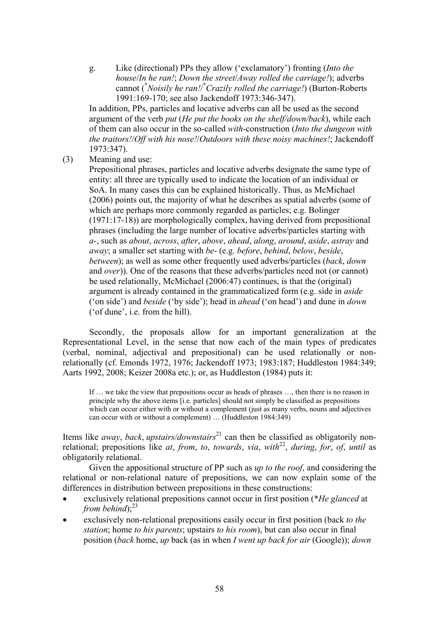g. Like (directional) PPs they allow ('exclamatory') fronting (*Into the house*/*In he ran!*; *Down the street*/*Away rolled the carriage!*); adverbs cannot (\* *Noisily he ran!*/ \* *Crazily rolled the carriage!*) (Burton-Roberts 1991:169-170; see also Jackendoff 1973:346-347).

In addition, PPs, particles and locative adverbs can all be used as the second argument of the verb *put* (*He put the books on the shelf/down/back*), while each of them can also occur in the so-called *with*-construction (*Into the dungeon with the traitors!*/*Off with his nose!*/*Outdoors with these noisy machines!*; Jackendoff 1973:347).

(3) Meaning and use:

 Prepositional phrases, particles and locative adverbs designate the same type of entity: all three are typically used to indicate the location of an individual or SoA. In many cases this can be explained historically. Thus, as McMichael (2006) points out, the majority of what he describes as spatial adverbs (some of which are perhaps more commonly regarded as particles; e.g. Bolinger (1971:17-18)) are morphologically complex, having derived from prepositional phrases (including the large number of locative adverbs/particles starting with *a*-, such as *about*, *across*, *after*, *above*, *ahead*, *along*, *around*, *aside*, *astray* and *away*; a smaller set starting with *be*- (e.g. *before*, *behind*, *below*, *beside*, *between*); as well as some other frequently used adverbs/particles (*back*, *down* and *over*)). One of the reasons that these adverbs/particles need not (or cannot) be used relationally, McMichael (2006:47) continues, is that the (original) argument is already contained in the grammaticalized form (e.g. side in *aside* ('on side') and *beside* ('by side'); head in *ahead* ('on head') and dune in *down* ('of dune', i.e. from the hill).

Secondly, the proposals allow for an important generalization at the Representational Level, in the sense that now each of the main types of predicates (verbal, nominal, adjectival and prepositional) can be used relationally or nonrelationally (cf. Emonds 1972, 1976; Jackendoff 1973; 1983:187; Huddleston 1984:349; Aarts 1992, 2008; Keizer 2008a etc.); or, as Huddleston (1984) puts it:

If … we take the view that prepositions occur as heads of phrases …, then there is no reason in principle why the above items [i.e. particles] should not simply be classified as prepositions which can occur either with or without a complement (just as many verbs, nouns and adjectives can occur with or without a complement) … (Huddleston 1984:349)

Items like *away*, *back*, *upstairs/downstairs*<sup>21</sup> can then be classified as obligatorily nonrelational; prepositions like *at*, *from*, *to*, *towards*, *via*, *with*22, *during*, *for*, *of*, *until* as obligatorily relational.

 Given the appositional structure of PP such as *up to the roof*, and considering the relational or non-relational nature of prepositions, we can now explain some of the differences in distribution between prepositions in these constructions:

- exclusively relational prepositions cannot occur in first position (\**He glanced* at *from behind*); $^{23}$
- exclusively non-relational prepositions easily occur in first position (back *to the station*; home *to his parents*; upstairs *to his room*), but can also occur in final position (*back* home, *up* back (as in when *I went up back for air* (Google)); *down*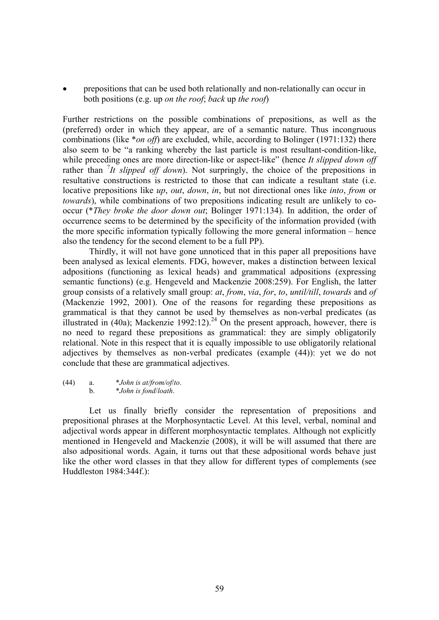prepositions that can be used both relationally and non-relationally can occur in both positions (e.g. up *on the roof*; *back* up *the roof*)

Further restrictions on the possible combinations of prepositions, as well as the (preferred) order in which they appear, are of a semantic nature. Thus incongruous combinations (like \**on off*) are excluded, while, according to Bolinger (1971:132) there also seem to be "a ranking whereby the last particle is most resultant-condition-like, while preceding ones are more direction-like or aspect-like" (hence *It slipped down off* rather than  ${}^{7}It$  *slipped off down*). Not surpringly, the choice of the prepositions in resultative constructions is restricted to those that can indicate a resultant state (i.e. locative prepositions like *up*, *out*, *down*, *in*, but not directional ones like *into*, *from* or *towards*), while combinations of two prepositions indicating result are unlikely to cooccur (\**They broke the door down out*; Bolinger 1971:134). In addition, the order of occurrence seems to be determined by the specificity of the information provided (with the more specific information typically following the more general information – hence also the tendency for the second element to be a full PP).

Thirdly, it will not have gone unnoticed that in this paper all prepositions have been analysed as lexical elements. FDG, however, makes a distinction between lexical adpositions (functioning as lexical heads) and grammatical adpositions (expressing semantic functions) (e.g. Hengeveld and Mackenzie 2008:259). For English, the latter group consists of a relatively small group: *at*, *from*, *via*, *for*, *to*, *until/till*, *towards* and *of* (Mackenzie 1992, 2001). One of the reasons for regarding these prepositions as grammatical is that they cannot be used by themselves as non-verbal predicates (as illustrated in (40a); Mackenzie 1992:12).<sup>24</sup> On the present approach, however, there is no need to regard these prepositions as grammatical: they are simply obligatorily relational. Note in this respect that it is equally impossible to use obligatorily relational adjectives by themselves as non-verbal predicates (example (44)): yet we do not conclude that these are grammatical adjectives.

#### (44) a. \**John is at/from/of*/*to*. b. \**John is fond*/*loath*.

Let us finally briefly consider the representation of prepositions and prepositional phrases at the Morphosyntactic Level. At this level, verbal, nominal and adjectival words appear in different morphosyntactic templates. Although not explicitly mentioned in Hengeveld and Mackenzie (2008), it will be will assumed that there are also adpositional words. Again, it turns out that these adpositional words behave just like the other word classes in that they allow for different types of complements (see Huddleston 1984:344f.):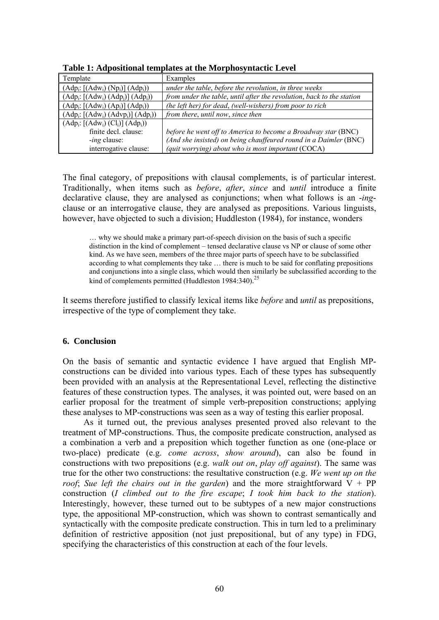| Template                                                                                     | Examples                                                              |
|----------------------------------------------------------------------------------------------|-----------------------------------------------------------------------|
| $\vert$ (Adp <sub>i</sub> : [(Adw <sub>i</sub> ) (Np <sub>i</sub> )] (Adp <sub>i</sub> ))    | under the table, before the revolution, in three weeks                |
| $\left[ (Adp_i: [(Adw_i) (Adp_i)] (Adp_i) \right]$                                           | from under the table, until after the revolution, back to the station |
| $\Delta$ (Adp <sub>i</sub> : [(Adw <sub>i</sub> ) (Ap <sub>i</sub> )] (Adp <sub>i</sub> ))   | (he left her) for dead, (well-wishers) from poor to rich              |
| $\Delta$ (Adp <sub>i</sub> : [(Adw <sub>i</sub> ) (Advp <sub>i</sub> )] (Adp <sub>i</sub> )) | from there, until now, since then                                     |
| $\vert$ (Adp <sub>i</sub> : [(Adw <sub>i</sub> ) (Cl <sub>i</sub> )] (Adp <sub>i</sub> ))    |                                                                       |
| finite decl. clause:                                                                         | before he went off to America to become a Broadway star (BNC)         |
| <i>ing</i> clause:                                                                           | (And she insisted) on being chauffeured round in a Daimler (BNC)      |
| interrogative clause:                                                                        | (quit worrying) about who is most important (COCA)                    |

**Table 1: Adpositional templates at the Morphosyntactic Level** 

The final category, of prepositions with clausal complements, is of particular interest. Traditionally, when items such as *before*, *after*, *since* and *until* introduce a finite declarative clause, they are analysed as conjunctions; when what follows is an -*ing*clause or an interrogative clause, they are analysed as prepositions. Various linguists, however, have objected to such a division; Huddleston (1984), for instance, wonders

… why we should make a primary part-of-speech division on the basis of such a specific distinction in the kind of complement – tensed declarative clause vs NP or clause of some other kind. As we have seen, members of the three major parts of speech have to be subclassified according to what complements they take … there is much to be said for conflating prepositions and conjunctions into a single class, which would then similarly be subclassified according to the kind of complements permitted (Huddleston 1984:340).<sup>25</sup>

It seems therefore justified to classify lexical items like *before* and *until* as prepositions, irrespective of the type of complement they take.

## **6. Conclusion**

On the basis of semantic and syntactic evidence I have argued that English MPconstructions can be divided into various types. Each of these types has subsequently been provided with an analysis at the Representational Level, reflecting the distinctive features of these construction types. The analyses, it was pointed out, were based on an earlier proposal for the treatment of simple verb-preposition constructions; applying these analyses to MP-constructions was seen as a way of testing this earlier proposal.

As it turned out, the previous analyses presented proved also relevant to the treatment of MP-constructions. Thus, the composite predicate construction, analysed as a combination a verb and a preposition which together function as one (one-place or two-place) predicate (e.g. *come across*, *show around*), can also be found in constructions with two prepositions (e.g. *walk out on*, *play off against*). The same was true for the other two constructions: the resultative construction (e.g. *We went up on the roof*; Sue left the chairs out in the garden) and the more straightforward  $V + PP$ construction (*I climbed out to the fire escape*; *I took him back to the station*). Interestingly, however, these turned out to be subtypes of a new major constructions type, the appositional MP-construction, which was shown to contrast semantically and syntactically with the composite predicate construction. This in turn led to a preliminary definition of restrictive apposition (not just prepositional, but of any type) in FDG, specifying the characteristics of this construction at each of the four levels.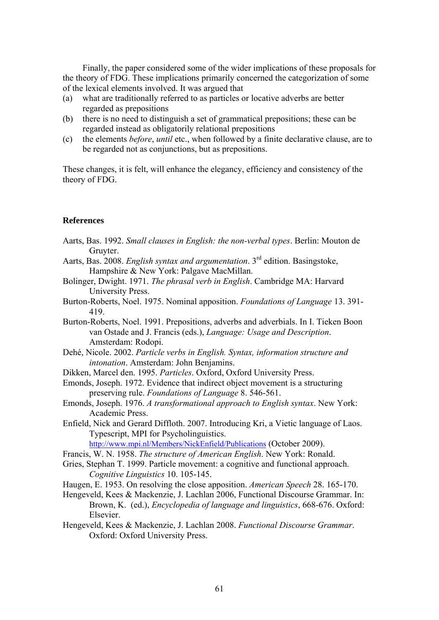Finally, the paper considered some of the wider implications of these proposals for the theory of FDG. These implications primarily concerned the categorization of some of the lexical elements involved. It was argued that

- (a) what are traditionally referred to as particles or locative adverbs are better regarded as prepositions
- (b) there is no need to distinguish a set of grammatical prepositions; these can be regarded instead as obligatorily relational prepositions
- (c) the elements *before*, *until* etc., when followed by a finite declarative clause, are to be regarded not as conjunctions, but as prepositions.

These changes, it is felt, will enhance the elegancy, efficiency and consistency of the theory of FDG.

#### **References**

- Aarts, Bas. 1992. *Small clauses in English: the non-verbal types*. Berlin: Mouton de Gruyter.
- Aarts, Bas. 2008. *English syntax and argumentation*. 3rd edition. Basingstoke, Hampshire & New York: Palgave MacMillan.
- Bolinger, Dwight. 1971. *The phrasal verb in English*. Cambridge MA: Harvard University Press.
- Burton-Roberts, Noel. 1975. Nominal apposition. *Foundations of Language* 13. 391- 419.
- Burton-Roberts, Noel. 1991. Prepositions, adverbs and adverbials. In I. Tieken Boon van Ostade and J. Francis (eds.), *Language: Usage and Description*. Amsterdam: Rodopi.
- Dehé, Nicole. 2002. *Particle verbs in English. Syntax, information structure and intonation*. Amsterdam: John Benjamins.
- Dikken, Marcel den. 1995. *Particles*. Oxford, Oxford University Press.
- Emonds, Joseph. 1972. Evidence that indirect object movement is a structuring preserving rule. *Foundations of Language* 8. 546-561.
- Emonds, Joseph. 1976. *A transformational approach to English syntax*. New York: Academic Press.
- Enfield, Nick and Gerard Diffloth. 2007. Introducing Kri, a Vietic language of Laos. Typescript, MPI for Psycholinguistics.

<http://www.mpi.nl/Members/NickEnfield/Publications> (October 2009).

- Francis, W. N. 1958. *The structure of American English*. New York: Ronald.
- Gries, Stephan T. 1999. Particle movement: a cognitive and functional approach. *Cognitive Linguistics* 10. 105-145.
- Haugen, E. 1953. On resolving the close apposition. *American Speech* 28. 165-170.
- Hengeveld, Kees & Mackenzie, J. Lachlan 2006, Functional Discourse Grammar. In: Brown, K. (ed.), *Encyclopedia of language and linguistics*, 668-676. Oxford: Elsevier.
- Hengeveld, Kees & Mackenzie, J. Lachlan 2008. *Functional Discourse Grammar*. Oxford: Oxford University Press.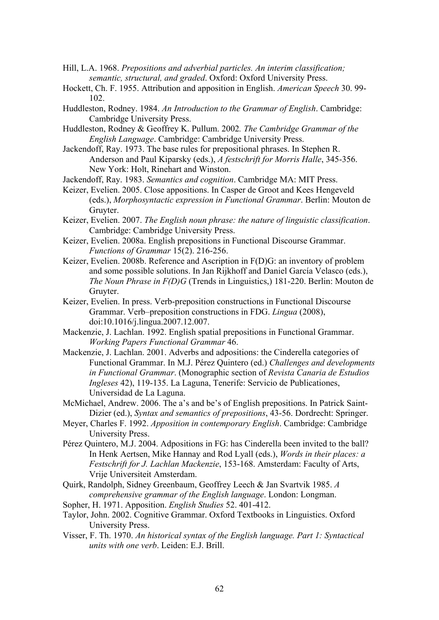- Hill, L.A. 1968. *Prepositions and adverbial particles. An interim classification; semantic, structural, and graded*. Oxford: Oxford University Press.
- Hockett, Ch. F. 1955. Attribution and apposition in English. *American Speech* 30. 99- 102.
- Huddleston, Rodney. 1984. *An Introduction to the Grammar of English*. Cambridge: Cambridge University Press.
- Huddleston, Rodney & Geoffrey K. Pullum. 2002*. The Cambridge Grammar of the English Language*. Cambridge: Cambridge University Press.
- Jackendoff, Ray. 1973. The base rules for prepositional phrases. In Stephen R. Anderson and Paul Kiparsky (eds.), *A festschrift for Morris Halle*, 345-356. New York: Holt, Rinehart and Winston.
- Jackendoff, Ray. 1983. *Semantics and cognition*. Cambridge MA: MIT Press.
- Keizer, Evelien. 2005. Close appositions. In Casper de Groot and Kees Hengeveld (eds.), *Morphosyntactic expression in Functional Grammar*. Berlin: Mouton de Gruyter.
- Keizer, Evelien. 2007. *The English noun phrase: the nature of linguistic classification*. Cambridge: Cambridge University Press.
- Keizer, Evelien. 2008a. English prepositions in Functional Discourse Grammar. *Functions of Grammar* 15(2). 216-256.
- Keizer, Evelien. 2008b. Reference and Ascription in F(D)G: an inventory of problem and some possible solutions. In Jan Rijkhoff and Daniel García Velasco (eds.), *The Noun Phrase in F(D)G* (Trends in Linguistics,) 181-220. Berlin: Mouton de Gruyter.
- Keizer, Evelien. In press. Verb-preposition constructions in Functional Discourse Grammar. Verb–preposition constructions in FDG. *Lingua* (2008), doi:10.1016/j.lingua.2007.12.007.
- Mackenzie, J. Lachlan. 1992. English spatial prepositions in Functional Grammar. *Working Papers Functional Grammar* 46.
- Mackenzie, J. Lachlan. 2001. Adverbs and adpositions: the Cinderella categories of Functional Grammar. In M.J. Pérez Quintero (ed.) *Challenges and developments in Functional Grammar*. (Monographic section of *Revista Canaria de Estudios Ingleses* 42), 119-135. La Laguna, Tenerife: Servicio de Publicationes, Universidad de La Laguna.
- McMichael, Andrew. 2006. The a's and be's of English prepositions. In Patrick Saint-Dizier (ed.), *Syntax and semantics of prepositions*, 43-56. Dordrecht: Springer.
- Meyer, Charles F. 1992. *Apposition in contemporary English*. Cambridge: Cambridge University Press.
- Pérez Quintero, M.J. 2004. Adpositions in FG: has Cinderella been invited to the ball? In Henk Aertsen, Mike Hannay and Rod Lyall (eds.), *Words in their places: a Festschrift for J. Lachlan Mackenzie*, 153-168. Amsterdam: Faculty of Arts, Vrije Universiteit Amsterdam.
- Quirk, Randolph, Sidney Greenbaum, Geoffrey Leech & Jan Svartvik 1985. *A comprehensive grammar of the English language*. London: Longman.
- Sopher, H. 1971. Apposition. *English Studies* 52. 401-412.
- Taylor, John. 2002. Cognitive Grammar. Oxford Textbooks in Linguistics. Oxford University Press.
- Visser, F. Th. 1970. *An historical syntax of the English language. Part 1: Syntactical units with one verb*. Leiden: E.J. Brill.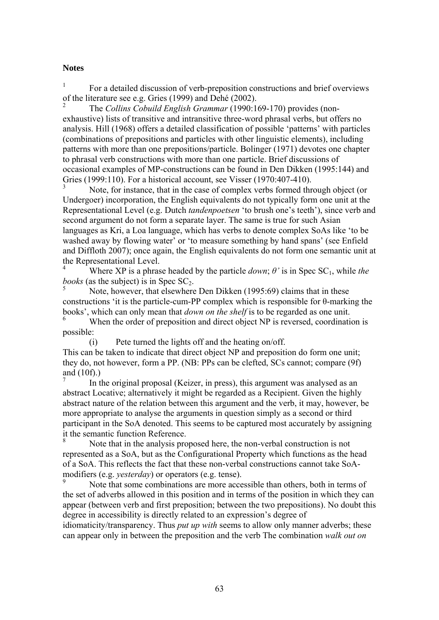#### **Notes**

1 For a detailed discussion of verb-preposition constructions and brief overviews of the literature see e.g. Gries (1999) and Dehé (2002).

2 The *Collins Cobuild English Grammar* (1990:169-170) provides (nonexhaustive) lists of transitive and intransitive three-word phrasal verbs, but offers no analysis. Hill (1968) offers a detailed classification of possible 'patterns' with particles (combinations of prepositions and particles with other linguistic elements), including patterns with more than one prepositions/particle. Bolinger (1971) devotes one chapter to phrasal verb constructions with more than one particle. Brief discussions of occasional examples of MP-constructions can be found in Den Dikken (1995:144) and Gries (1999:110). For a historical account, see Visser (1970:407-410).

3 Note, for instance, that in the case of complex verbs formed through object (or Undergoer) incorporation, the English equivalents do not typically form one unit at the Representational Level (e.g. Dutch *tandenpoetsen* 'to brush one's teeth'), since verb and second argument do not form a separate layer. The same is true for such Asian languages as Kri, a Loa language, which has verbs to denote complex SoAs like 'to be washed away by flowing water' or 'to measure something by hand spans' (see Enfield and Diffloth 2007); once again, the English equivalents do not form one semantic unit at the Representational Level.

Where XP is a phrase headed by the particle *down*;  $\theta$ <sup>*'*</sup> is in Spec SC<sub>1</sub>, while *the books* (as the subject) is in Spec  $SC<sub>2</sub>$ .

 Note, however, that elsewhere Den Dikken (1995:69) claims that in these constructions 'it is the particle-cum-PP complex which is responsible for θ-marking the books', which can only mean that *down on the shelf* is to be regarded as one unit. 6 When the order of preposition and direct object NP is reversed, coordination is possible:

(i) Pete turned the lights off and the heating on/off. This can be taken to indicate that direct object NP and preposition do form one unit; they do, not however, form a PP. (NB: PPs can be clefted, SCs cannot; compare (9f) and (10f).)

7 In the original proposal (Keizer, in press), this argument was analysed as an abstract Locative; alternatively it might be regarded as a Recipient. Given the highly abstract nature of the relation between this argument and the verb, it may, however, be more appropriate to analyse the arguments in question simply as a second or third participant in the SoA denoted. This seems to be captured most accurately by assigning it the semantic function Reference.

8 Note that in the analysis proposed here, the non-verbal construction is not represented as a SoA, but as the Configurational Property which functions as the head of a SoA. This reflects the fact that these non-verbal constructions cannot take SoAmodifiers (e.g. *yesterday*) or operators (e.g. tense).

9 Note that some combinations are more accessible than others, both in terms of the set of adverbs allowed in this position and in terms of the position in which they can appear (between verb and first preposition; between the two prepositions). No doubt this degree in accessibility is directly related to an expression's degree of

idiomaticity/transparency. Thus *put up with* seems to allow only manner adverbs; these can appear only in between the preposition and the verb The combination *walk out on*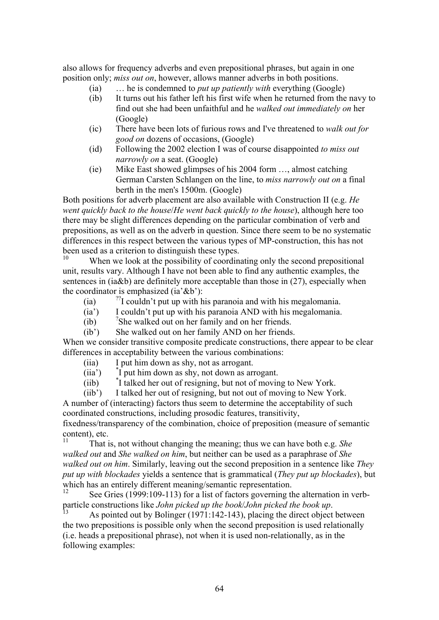also allows for frequency adverbs and even prepositional phrases, but again in one position only; *miss out on*, however, allows manner adverbs in both positions.

- (ia) … he is condemned to *put up patiently with* everything (Google)
- (ib) It turns out his father left his first wife when he returned from the navy to find out she had been unfaithful and he *walked out immediately on* her (Google)
- (ic) There have been lots of furious rows and I've threatened to *walk out for good on* dozens of occasions, (Google)
- (id) Following the 2002 election I was of course disappointed *to miss out narrowly on* a seat. (Google)
- (ie) Mike East showed glimpses of his 2004 form …, almost catching German Carsten Schlangen on the line, to *miss narrowly out on* a final berth in the men's 1500m. (Google)

Both positions for adverb placement are also available with Construction II (e.g. *He went quickly back to the house*/*He went back quickly to the house*), although here too there may be slight differences depending on the particular combination of verb and prepositions, as well as on the adverb in question. Since there seem to be no systematic differences in this respect between the various types of MP-construction, this has not been used as a criterion to distinguish these types.<br><sup>10</sup><br>When we look at the negativity of examine

When we look at the possibility of coordinating only the second prepositional unit, results vary. Although I have not been able to find any authentic examples, the sentences in (ia&b) are definitely more acceptable than those in (27), especially when the coordinator is emphasized (ia' $&b$ ):

- (ia)  $\frac{1}{2}$  couldn't put up with his paranoia and with his megalomania.
- (ia') I couldn't put up with his paranoia AND with his megalomania.
- $<sub>(ib)</sub>$ </sub>  $\mathrm{R}^2$ She walked out on her family and on her friends.
- (ib') She walked out on her family AND on her friends.

When we consider transitive composite predicate constructions, there appear to be clear differences in acceptability between the various combinations:

- (iia) I put him down as shy, not as arrogant.
- $(iia')$ I put him down as shy, not down as arrogant.
- $(iib)$ <sup>\*</sup>I talked her out of resigning, but not of moving to New York.

(iib') I talked her out of resigning, but not out of moving to New York. A number of (interacting) factors thus seem to determine the acceptability of such coordinated constructions, including prosodic features, transitivity, fixedness/transparency of the combination, choice of preposition (measure of semantic content), etc.

11 That is, not without changing the meaning; thus we can have both e.g. *She walked out* and *She walked on him*, but neither can be used as a paraphrase of *She walked out on him*. Similarly, leaving out the second preposition in a sentence like *They put up with blockades* yields a sentence that is grammatical (*They put up blockades*), but which has an entirely different meaning/semantic representation.

See Gries (1999:109-113) for a list of factors governing the alternation in verbparticle constructions like *John picked up the book/John picked the book up*.<br><sup>13</sup> As pointed out by Bolinger (1971:142-143), placing the direct object between

the two prepositions is possible only when the second preposition is used relationally (i.e. heads a prepositional phrase), not when it is used non-relationally, as in the following examples: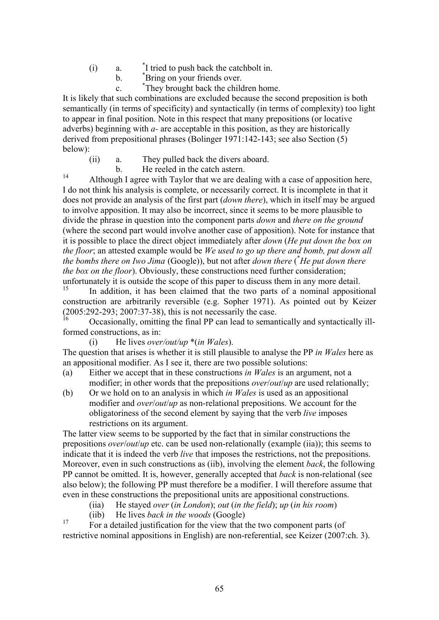- $(i)$  a. I tried to push back the catchbolt in.
- $\mathbf{b}$ .  $\mathbf{b}$ . Bring on your friends over.
- $c.$  \* They brought back the children home.

It is likely that such combinations are excluded because the second preposition is both semantically (in terms of specificity) and syntactically (in terms of complexity) too light to appear in final position. Note in this respect that many prepositions (or locative adverbs) beginning with *a-* are acceptable in this position, as they are historically derived from prepositional phrases (Bolinger 1971:142-143; see also Section (5) below):

- (ii) a. They pulled back the divers aboard.
- $b.$  He reeled in the catch astern.

14 Although I agree with Taylor that we are dealing with a case of apposition here, I do not think his analysis is complete, or necessarily correct. It is incomplete in that it does not provide an analysis of the first part (*down there*), which in itself may be argued to involve apposition. It may also be incorrect, since it seems to be more plausible to divide the phrase in question into the component parts *down* and *there on the ground* (where the second part would involve another case of apposition). Note for instance that it is possible to place the direct object immediately after *down* (*He put down the box on the floor*; an attested example would be *We used to go up there and bomb, put down all the bombs there on Iwo Jima* (Google)), but not after *down there* (\* *He put down there the box on the floor*). Obviously, these constructions need further consideration; unfortunately it is outside the scope of this paper to discuss them in any more detail.

In addition, it has been claimed that the two parts of a nominal appositional construction are arbitrarily reversible (e.g. Sopher 1971). As pointed out by Keizer  $(2005:292-293; 2007:37-38)$ , this is not necessarily the case.

16 Occasionally, omitting the final PP can lead to semantically and syntactically illformed constructions, as in:

(i) He lives *over/out/up* \*(*in Wales*).

The question that arises is whether it is still plausible to analyse the PP *in Wales* here as an appositional modifier. As I see it, there are two possible solutions:

- (a) Either we accept that in these constructions *in Wales* is an argument, not a modifier; in other words that the prepositions *over/out/up* are used relationally;
- (b) Or we hold on to an analysis in which *in Wales* is used as an appositional modifier and *over/out/up* as non-relational prepositions. We account for the obligatoriness of the second element by saying that the verb *live* imposes restrictions on its argument.

The latter view seems to be supported by the fact that in similar constructions the prepositions *over*/*out*/*up* etc. can be used non-relationally (example (iia)); this seems to indicate that it is indeed the verb *live* that imposes the restrictions, not the prepositions. Moreover, even in such constructions as (iib), involving the element *back*, the following PP cannot be omitted. It is, however, generally accepted that *back* is non-relational (see also below); the following PP must therefore be a modifier. I will therefore assume that even in these constructions the prepositional units are appositional constructions.

- (iia) He stayed *over* (*in London*); *out* (*in the field*); *up* (*in his room*)
- (iib) He lives *back in the woods* (Google)

17 For a detailed justification for the view that the two component parts (of restrictive nominal appositions in English) are non-referential, see Keizer (2007:ch. 3).